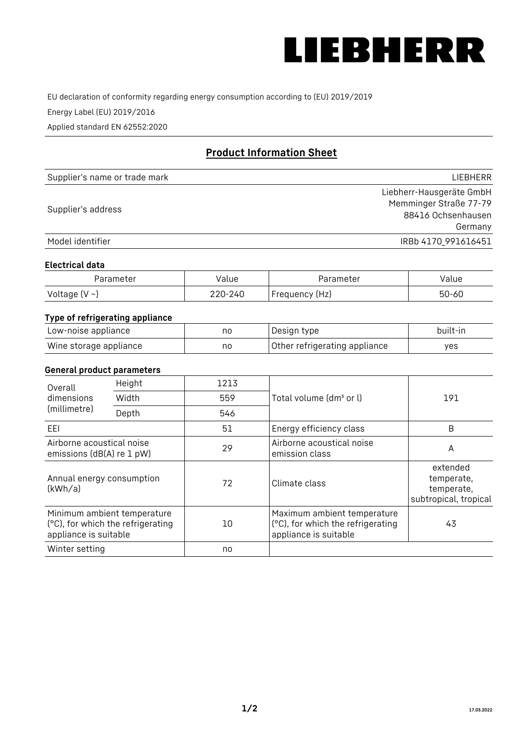

EU declaration of conformity regarding energy consumption according to (EU) 2019/2019

Energy Label (EU) 2019/2016

Applied standard EN 62552:2020

# **Product Information Sheet**

| Supplier's name or trade mark | <b>LIFBHFRR</b>          |
|-------------------------------|--------------------------|
|                               | Liebherr-Hausgeräte GmbH |
| Supplier's address            | Memminger Straße 77-79   |
|                               | 88416 Ochsenhausen       |
|                               | Germany                  |
| Model identifier              | IRBb 4170 991616451      |

#### **Electrical data**

| Parameter     | Value         | Parameter      | alue ' |
|---------------|---------------|----------------|--------|
| Voltage (V ~) | 220-:<br>-24C | Frequency (Hz) | 50-60  |

# **Type of refrigerating appliance**

| Low-noise appliance    | no | Design type                   | built-in |
|------------------------|----|-------------------------------|----------|
| Wine storage appliance | no | Other refrigerating appliance | yes      |

### **General product parameters**

| Height<br>Overall                                      |                                                                  | 1213 |                                                                                           |                                                               |
|--------------------------------------------------------|------------------------------------------------------------------|------|-------------------------------------------------------------------------------------------|---------------------------------------------------------------|
| dimensions<br>(millimetre)                             | Width                                                            | 559  | Total volume (dm <sup>3</sup> or l)                                                       | 191                                                           |
|                                                        | Depth                                                            | 546  |                                                                                           |                                                               |
| EEL                                                    |                                                                  | 51   | Energy efficiency class                                                                   | B                                                             |
| Airborne acoustical noise<br>emissions (dB(A) re 1 pW) |                                                                  | 29   | Airborne acoustical noise<br>emission class                                               | A                                                             |
| Annual energy consumption<br>(kWh/a)                   |                                                                  | 72   | Climate class                                                                             | extended<br>temperate,<br>temperate,<br>subtropical, tropical |
| appliance is suitable                                  | Minimum ambient temperature<br>(°C), for which the refrigerating | 10   | Maximum ambient temperature<br>(°C), for which the refrigerating<br>appliance is suitable | 43                                                            |
| Winter setting                                         |                                                                  | no   |                                                                                           |                                                               |